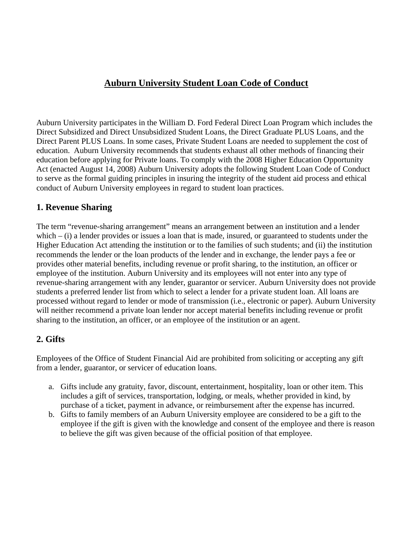# **Auburn University Student Loan Code of Conduct**

Auburn University participates in the William D. Ford Federal Direct Loan Program which includes the Direct Subsidized and Direct Unsubsidized Student Loans, the Direct Graduate PLUS Loans, and the Direct Parent PLUS Loans. In some cases, Private Student Loans are needed to supplement the cost of education. Auburn University recommends that students exhaust all other methods of financing their education before applying for Private loans. To comply with the 2008 Higher Education Opportunity Act (enacted August 14, 2008) Auburn University adopts the following Student Loan Code of Conduct to serve as the formal guiding principles in insuring the integrity of the student aid process and ethical conduct of Auburn University employees in regard to student loan practices.

### **1. Revenue Sharing**

The term "revenue-sharing arrangement" means an arrangement between an institution and a lender which  $-$  (i) a lender provides or issues a loan that is made, insured, or guaranteed to students under the Higher Education Act attending the institution or to the families of such students; and (ii) the institution recommends the lender or the loan products of the lender and in exchange, the lender pays a fee or provides other material benefits, including revenue or profit sharing, to the institution, an officer or employee of the institution. Auburn University and its employees will not enter into any type of revenue-sharing arrangement with any lender, guarantor or servicer. Auburn University does not provide students a preferred lender list from which to select a lender for a private student loan. All loans are processed without regard to lender or mode of transmission (i.e., electronic or paper). Auburn University will neither recommend a private loan lender nor accept material benefits including revenue or profit sharing to the institution, an officer, or an employee of the institution or an agent.

# **2. Gifts**

Employees of the Office of Student Financial Aid are prohibited from soliciting or accepting any gift from a lender, guarantor, or servicer of education loans.

- a. Gifts include any gratuity, favor, discount, entertainment, hospitality, loan or other item. This includes a gift of services, transportation, lodging, or meals, whether provided in kind, by purchase of a ticket, payment in advance, or reimbursement after the expense has incurred.
- b. Gifts to family members of an Auburn University employee are considered to be a gift to the employee if the gift is given with the knowledge and consent of the employee and there is reason to believe the gift was given because of the official position of that employee.